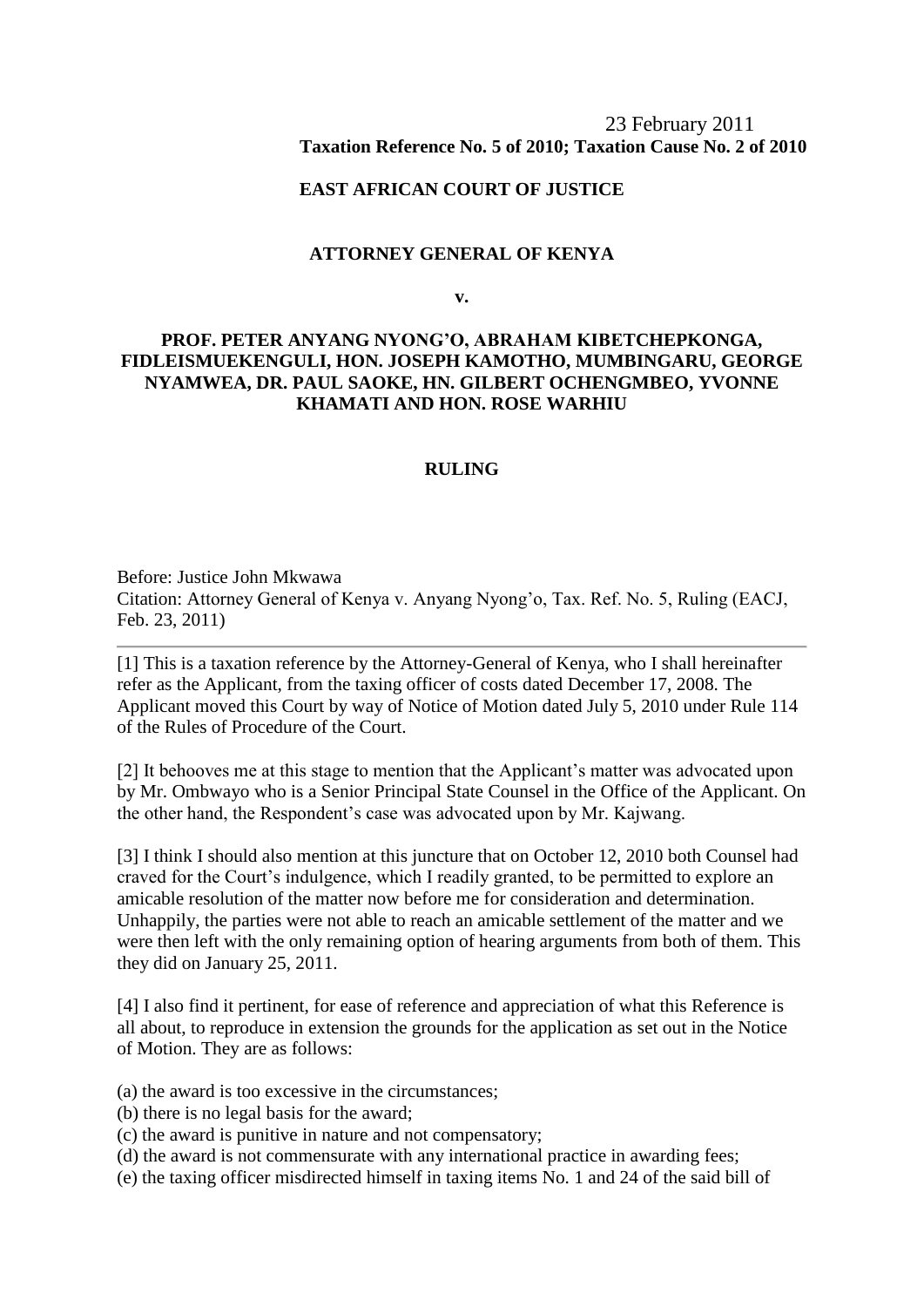# 23 February 2011 **Taxation Reference No. 5 of 2010; Taxation Cause No. 2 of 2010**

### **EAST AFRICAN COURT OF JUSTICE**

### **ATTORNEY GENERAL OF KENYA**

**v.**

# **PROF. PETER ANYANG NYONG'O, ABRAHAM KIBETCHEPKONGA, FIDLEISMUEKENGULI, HON. JOSEPH KAMOTHO, MUMBINGARU, GEORGE NYAMWEA, DR. PAUL SAOKE, HN. GILBERT OCHENGMBEO, YVONNE KHAMATI AND HON. ROSE WARHIU**

#### **RULING**

Before: Justice John Mkwawa Citation: Attorney General of Kenya v. Anyang Nyong'o, Tax. Ref. No. 5, Ruling (EACJ, Feb. 23, 2011)

[1] This is a taxation reference by the Attorney-General of Kenya, who I shall hereinafter refer as the Applicant, from the taxing officer of costs dated December 17, 2008. The Applicant moved this Court by way of Notice of Motion dated July 5, 2010 under Rule 114 of the Rules of Procedure of the Court.

[2] It behooves me at this stage to mention that the Applicant's matter was advocated upon by Mr. Ombwayo who is a Senior Principal State Counsel in the Office of the Applicant. On the other hand, the Respondent's case was advocated upon by Mr. Kajwang.

[3] I think I should also mention at this juncture that on October 12, 2010 both Counsel had craved for the Court's indulgence, which I readily granted, to be permitted to explore an amicable resolution of the matter now before me for consideration and determination. Unhappily, the parties were not able to reach an amicable settlement of the matter and we were then left with the only remaining option of hearing arguments from both of them. This they did on January 25, 2011.

[4] I also find it pertinent, for ease of reference and appreciation of what this Reference is all about, to reproduce in extension the grounds for the application as set out in the Notice of Motion. They are as follows:

(a) the award is too excessive in the circumstances;

(b) there is no legal basis for the award;

(c) the award is punitive in nature and not compensatory;

(d) the award is not commensurate with any international practice in awarding fees;

(e) the taxing officer misdirected himself in taxing items No. 1 and 24 of the said bill of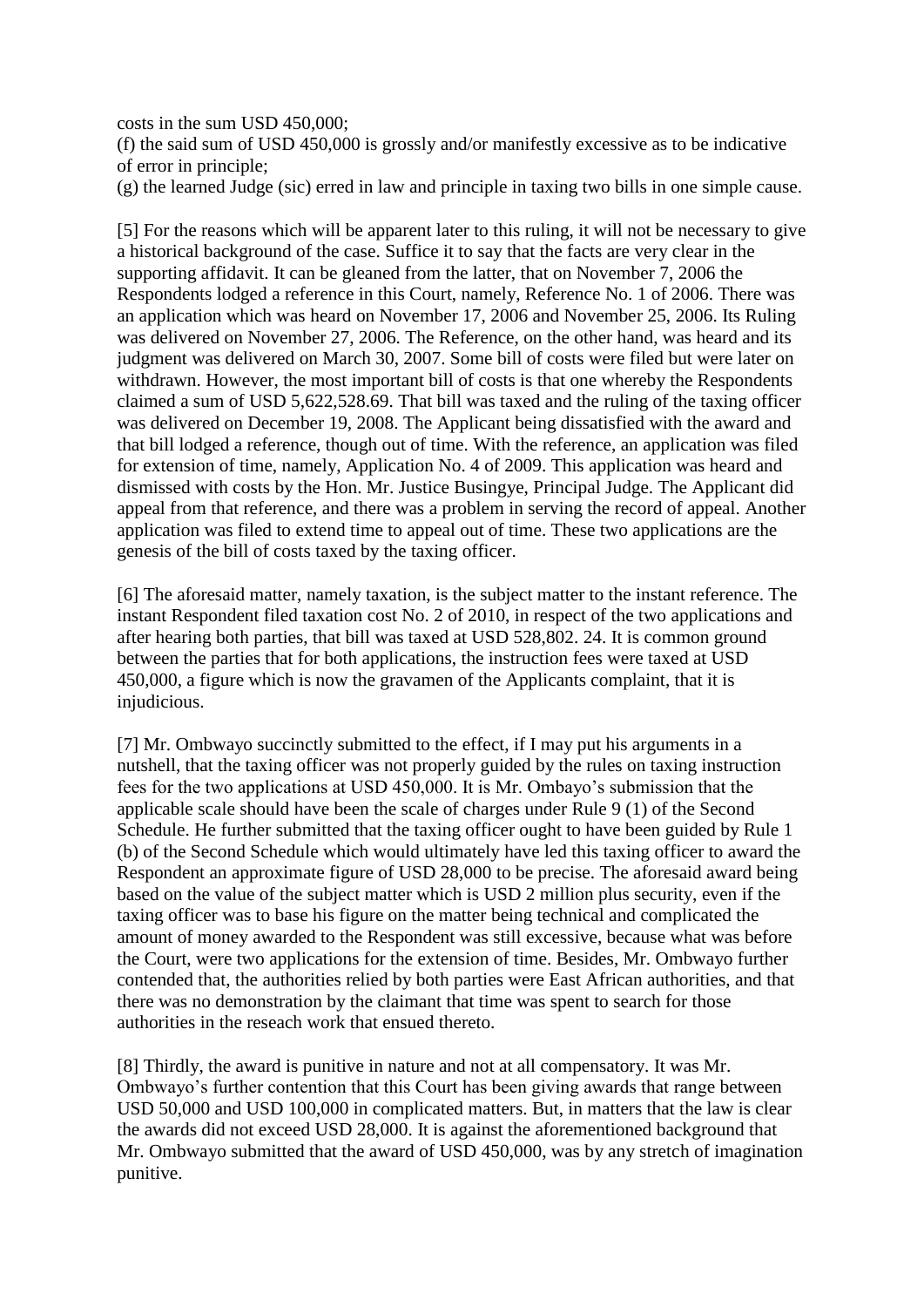costs in the sum USD 450,000;

(f) the said sum of USD 450,000 is grossly and/or manifestly excessive as to be indicative of error in principle;

(g) the learned Judge (sic) erred in law and principle in taxing two bills in one simple cause.

[5] For the reasons which will be apparent later to this ruling, it will not be necessary to give a historical background of the case. Suffice it to say that the facts are very clear in the supporting affidavit. It can be gleaned from the latter, that on November 7, 2006 the Respondents lodged a reference in this Court, namely, Reference No. 1 of 2006. There was an application which was heard on November 17, 2006 and November 25, 2006. Its Ruling was delivered on November 27, 2006. The Reference, on the other hand, was heard and its judgment was delivered on March 30, 2007. Some bill of costs were filed but were later on withdrawn. However, the most important bill of costs is that one whereby the Respondents claimed a sum of USD 5,622,528.69. That bill was taxed and the ruling of the taxing officer was delivered on December 19, 2008. The Applicant being dissatisfied with the award and that bill lodged a reference, though out of time. With the reference, an application was filed for extension of time, namely, Application No. 4 of 2009. This application was heard and dismissed with costs by the Hon. Mr. Justice Busingye, Principal Judge. The Applicant did appeal from that reference, and there was a problem in serving the record of appeal. Another application was filed to extend time to appeal out of time. These two applications are the genesis of the bill of costs taxed by the taxing officer.

[6] The aforesaid matter, namely taxation, is the subject matter to the instant reference. The instant Respondent filed taxation cost No. 2 of 2010, in respect of the two applications and after hearing both parties, that bill was taxed at USD 528,802. 24. It is common ground between the parties that for both applications, the instruction fees were taxed at USD 450,000, a figure which is now the gravamen of the Applicants complaint, that it is injudicious.

[7] Mr. Ombwayo succinctly submitted to the effect, if I may put his arguments in a nutshell, that the taxing officer was not properly guided by the rules on taxing instruction fees for the two applications at USD 450,000. It is Mr. Ombayo's submission that the applicable scale should have been the scale of charges under Rule 9 (1) of the Second Schedule. He further submitted that the taxing officer ought to have been guided by Rule 1 (b) of the Second Schedule which would ultimately have led this taxing officer to award the Respondent an approximate figure of USD 28,000 to be precise. The aforesaid award being based on the value of the subject matter which is USD 2 million plus security, even if the taxing officer was to base his figure on the matter being technical and complicated the amount of money awarded to the Respondent was still excessive, because what was before the Court, were two applications for the extension of time. Besides, Mr. Ombwayo further contended that, the authorities relied by both parties were East African authorities, and that there was no demonstration by the claimant that time was spent to search for those authorities in the reseach work that ensued thereto.

[8] Thirdly, the award is punitive in nature and not at all compensatory. It was Mr. Ombwayo's further contention that this Court has been giving awards that range between USD 50,000 and USD 100,000 in complicated matters. But, in matters that the law is clear the awards did not exceed USD 28,000. It is against the aforementioned background that Mr. Ombwayo submitted that the award of USD 450,000, was by any stretch of imagination punitive.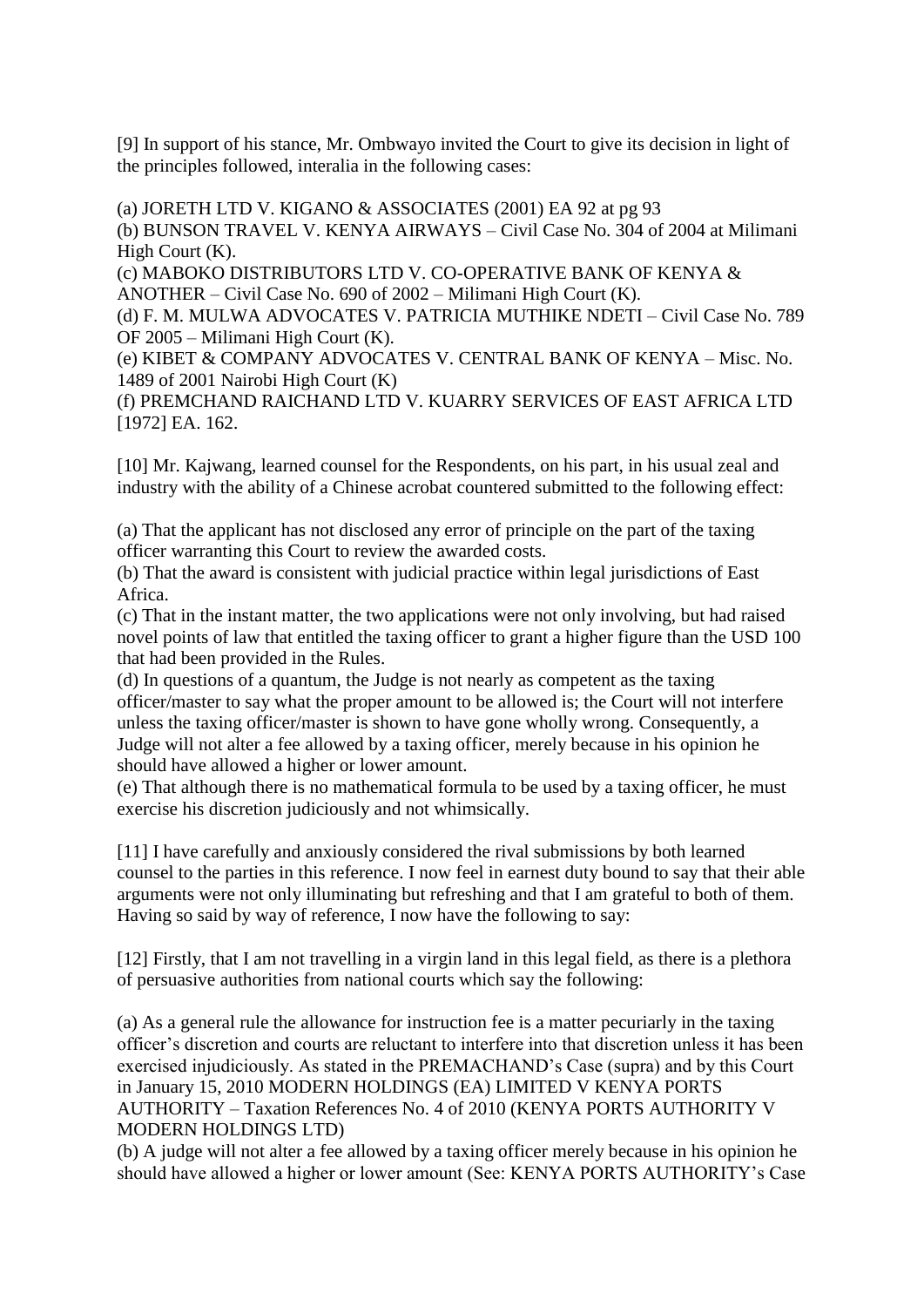[9] In support of his stance, Mr. Ombwayo invited the Court to give its decision in light of the principles followed, interalia in the following cases:

(a) JORETH LTD V. KIGANO & ASSOCIATES (2001) EA 92 at pg 93 (b) BUNSON TRAVEL V. KENYA AIRWAYS – Civil Case No. 304 of 2004 at Milimani High Court (K). (c) MABOKO DISTRIBUTORS LTD V. CO-OPERATIVE BANK OF KENYA & ANOTHER – Civil Case No. 690 of 2002 – Milimani High Court (K). (d) F. M. MULWA ADVOCATES V. PATRICIA MUTHIKE NDETI – Civil Case No. 789 OF 2005 – Milimani High Court (K). (e) KIBET & COMPANY ADVOCATES V. CENTRAL BANK OF KENYA – Misc. No. 1489 of 2001 Nairobi High Court (K) (f) PREMCHAND RAICHAND LTD V. KUARRY SERVICES OF EAST AFRICA LTD [1972] EA. 162.

[10] Mr. Kajwang, learned counsel for the Respondents, on his part, in his usual zeal and industry with the ability of a Chinese acrobat countered submitted to the following effect:

(a) That the applicant has not disclosed any error of principle on the part of the taxing officer warranting this Court to review the awarded costs.

(b) That the award is consistent with judicial practice within legal jurisdictions of East Africa.

(c) That in the instant matter, the two applications were not only involving, but had raised novel points of law that entitled the taxing officer to grant a higher figure than the USD 100 that had been provided in the Rules.

(d) In questions of a quantum, the Judge is not nearly as competent as the taxing officer/master to say what the proper amount to be allowed is; the Court will not interfere unless the taxing officer/master is shown to have gone wholly wrong. Consequently, a Judge will not alter a fee allowed by a taxing officer, merely because in his opinion he should have allowed a higher or lower amount.

(e) That although there is no mathematical formula to be used by a taxing officer, he must exercise his discretion judiciously and not whimsically.

[11] I have carefully and anxiously considered the rival submissions by both learned counsel to the parties in this reference. I now feel in earnest duty bound to say that their able arguments were not only illuminating but refreshing and that I am grateful to both of them. Having so said by way of reference, I now have the following to say:

[12] Firstly, that I am not travelling in a virgin land in this legal field, as there is a plethora of persuasive authorities from national courts which say the following:

(a) As a general rule the allowance for instruction fee is a matter pecuriarly in the taxing officer's discretion and courts are reluctant to interfere into that discretion unless it has been exercised injudiciously. As stated in the PREMACHAND's Case (supra) and by this Court in January 15, 2010 MODERN HOLDINGS (EA) LIMITED V KENYA PORTS AUTHORITY – Taxation References No. 4 of 2010 (KENYA PORTS AUTHORITY V MODERN HOLDINGS LTD)

(b) A judge will not alter a fee allowed by a taxing officer merely because in his opinion he should have allowed a higher or lower amount (See: KENYA PORTS AUTHORITY's Case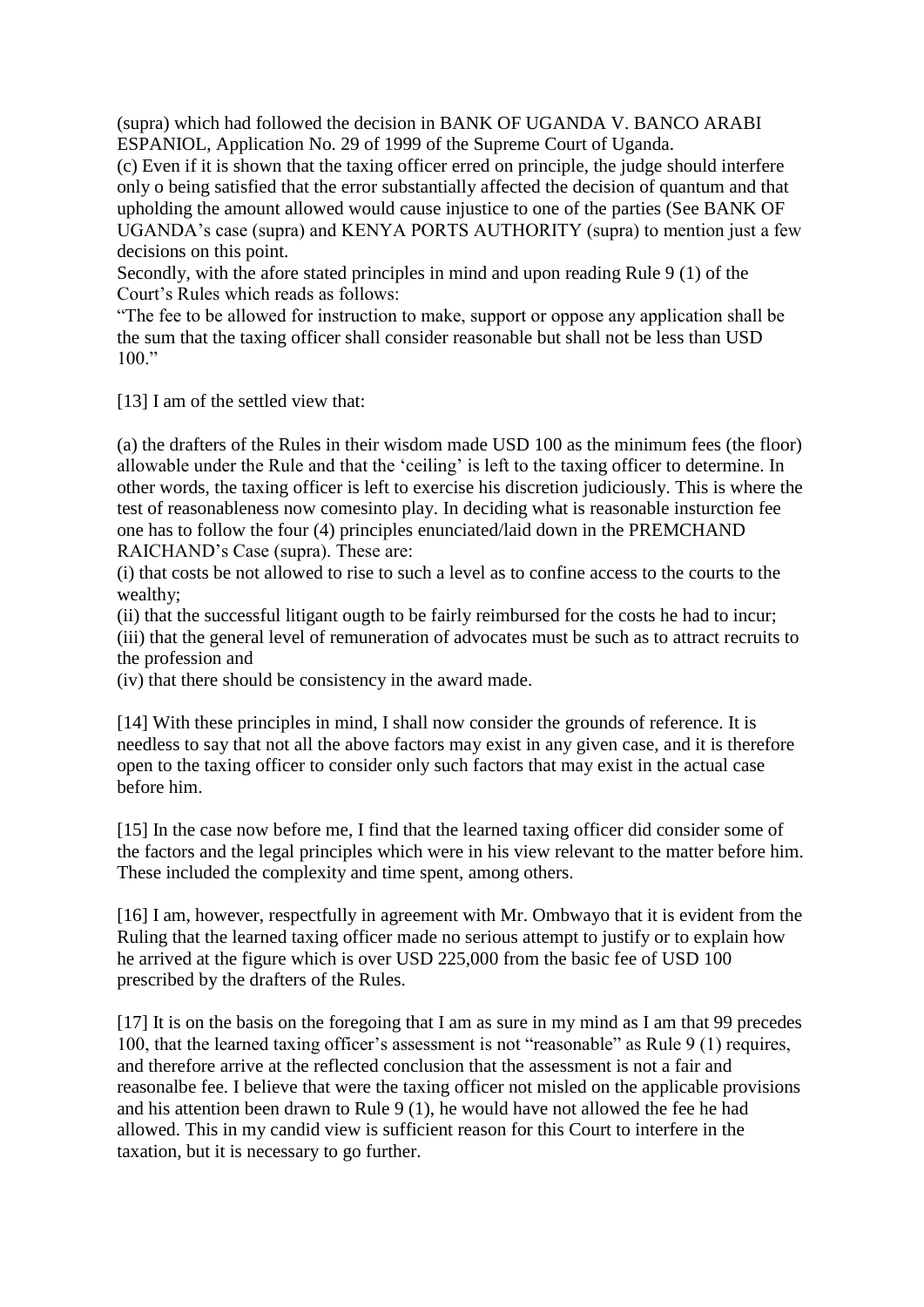(supra) which had followed the decision in BANK OF UGANDA V. BANCO ARABI ESPANIOL, Application No. 29 of 1999 of the Supreme Court of Uganda.

(c) Even if it is shown that the taxing officer erred on principle, the judge should interfere only o being satisfied that the error substantially affected the decision of quantum and that upholding the amount allowed would cause injustice to one of the parties (See BANK OF UGANDA's case (supra) and KENYA PORTS AUTHORITY (supra) to mention just a few decisions on this point.

Secondly, with the afore stated principles in mind and upon reading Rule 9 (1) of the Court's Rules which reads as follows:

"The fee to be allowed for instruction to make, support or oppose any application shall be the sum that the taxing officer shall consider reasonable but shall not be less than USD  $100.$ "

[13] I am of the settled view that:

(a) the drafters of the Rules in their wisdom made USD 100 as the minimum fees (the floor) allowable under the Rule and that the 'ceiling' is left to the taxing officer to determine. In other words, the taxing officer is left to exercise his discretion judiciously. This is where the test of reasonableness now comesinto play. In deciding what is reasonable insturction fee one has to follow the four (4) principles enunciated/laid down in the PREMCHAND RAICHAND's Case (supra). These are:

(i) that costs be not allowed to rise to such a level as to confine access to the courts to the wealthy;

(ii) that the successful litigant ougth to be fairly reimbursed for the costs he had to incur;

(iii) that the general level of remuneration of advocates must be such as to attract recruits to the profession and

(iv) that there should be consistency in the award made.

[14] With these principles in mind, I shall now consider the grounds of reference. It is needless to say that not all the above factors may exist in any given case, and it is therefore open to the taxing officer to consider only such factors that may exist in the actual case before him.

[15] In the case now before me, I find that the learned taxing officer did consider some of the factors and the legal principles which were in his view relevant to the matter before him. These included the complexity and time spent, among others.

[16] I am, however, respectfully in agreement with Mr. Ombwayo that it is evident from the Ruling that the learned taxing officer made no serious attempt to justify or to explain how he arrived at the figure which is over USD 225,000 from the basic fee of USD 100 prescribed by the drafters of the Rules.

[17] It is on the basis on the foregoing that I am as sure in my mind as I am that 99 precedes 100, that the learned taxing officer's assessment is not "reasonable" as Rule 9 (1) requires, and therefore arrive at the reflected conclusion that the assessment is not a fair and reasonalbe fee. I believe that were the taxing officer not misled on the applicable provisions and his attention been drawn to Rule 9 (1), he would have not allowed the fee he had allowed. This in my candid view is sufficient reason for this Court to interfere in the taxation, but it is necessary to go further.